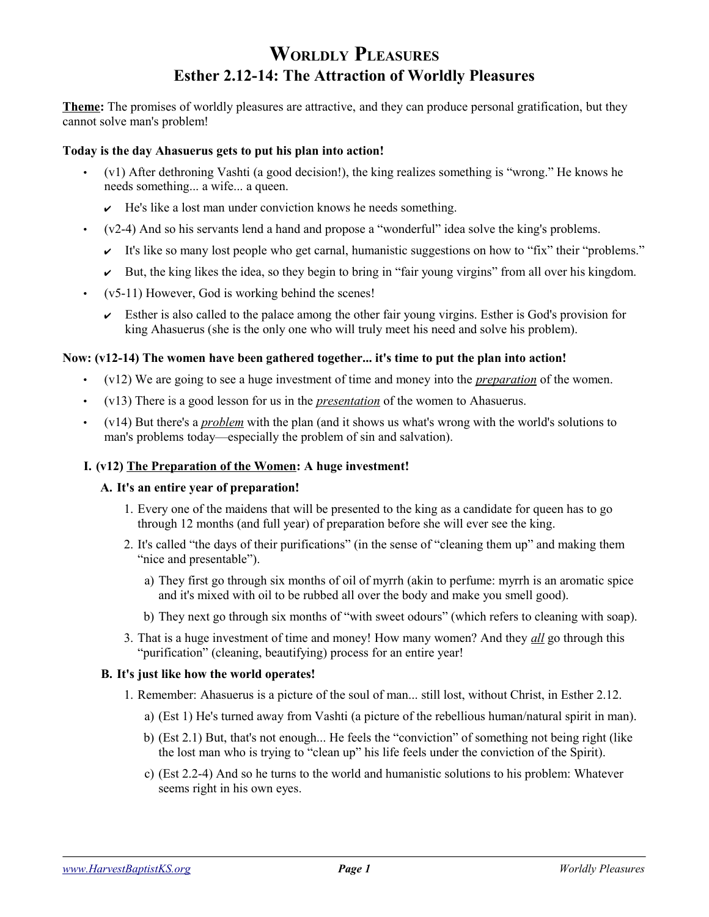# **WORLDLY PLEASURES Esther 2.12-14: The Attraction of Worldly Pleasures**

**Theme:** The promises of worldly pleasures are attractive, and they can produce personal gratification, but they cannot solve man's problem!

# **Today is the day Ahasuerus gets to put his plan into action!**

- (v1) After dethroning Vashti (a good decision!), the king realizes something is "wrong." He knows he needs something... a wife... a queen.
	- $\vee$  He's like a lost man under conviction knows he needs something.
- (v2-4) And so his servants lend a hand and propose a "wonderful" idea solve the king's problems.
	- $\vee$  It's like so many lost people who get carnal, humanistic suggestions on how to "fix" their "problems."
	- $\triangleright$  But, the king likes the idea, so they begin to bring in "fair young virgins" from all over his kingdom.
- $(v5-11)$  However, God is working behind the scenes!
	- $\triangleright$  Esther is also called to the palace among the other fair young virgins. Esther is God's provision for king Ahasuerus (she is the only one who will truly meet his need and solve his problem).

#### **Now: (v12-14) The women have been gathered together... it's time to put the plan into action!**

- (v12) We are going to see a huge investment of time and money into the *preparation* of the women.
- (v13) There is a good lesson for us in the *presentation* of the women to Ahasuerus.
- (v14) But there's a *problem* with the plan (and it shows us what's wrong with the world's solutions to man's problems today—especially the problem of sin and salvation).

#### **I. (v12) The Preparation of the Women: A huge investment!**

#### **A. It's an entire year of preparation!**

- 1. Every one of the maidens that will be presented to the king as a candidate for queen has to go through 12 months (and full year) of preparation before she will ever see the king.
- 2. It's called "the days of their purifications" (in the sense of "cleaning them up" and making them "nice and presentable").
	- a) They first go through six months of oil of myrrh (akin to perfume: myrrh is an aromatic spice and it's mixed with oil to be rubbed all over the body and make you smell good).
	- b) They next go through six months of "with sweet odours" (which refers to cleaning with soap).
- 3. That is a huge investment of time and money! How many women? And they *all* go through this "purification" (cleaning, beautifying) process for an entire year!

#### **B. It's just like how the world operates!**

- 1. Remember: Ahasuerus is a picture of the soul of man... still lost, without Christ, in Esther 2.12.
	- a) (Est 1) He's turned away from Vashti (a picture of the rebellious human/natural spirit in man).
	- b) (Est 2.1) But, that's not enough... He feels the "conviction" of something not being right (like the lost man who is trying to "clean up" his life feels under the conviction of the Spirit).
	- c) (Est 2.2-4) And so he turns to the world and humanistic solutions to his problem: Whatever seems right in his own eyes.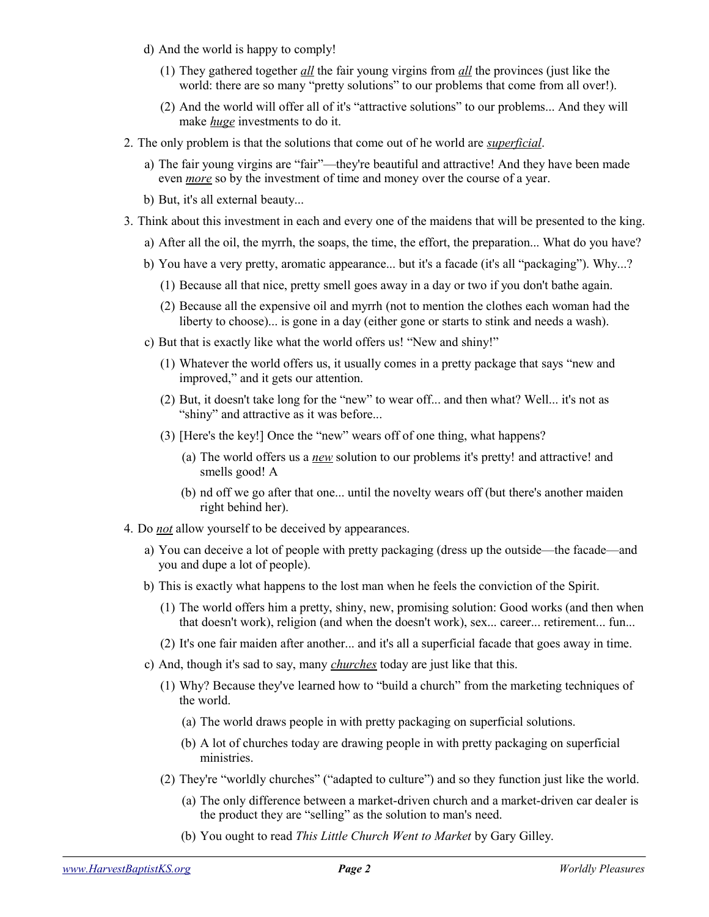- d) And the world is happy to comply!
	- (1) They gathered together *all* the fair young virgins from *all* the provinces (just like the world: there are so many "pretty solutions" to our problems that come from all over!).
	- (2) And the world will offer all of it's "attractive solutions" to our problems... And they will make *huge* investments to do it.
- 2. The only problem is that the solutions that come out of he world are *superficial*.
	- a) The fair young virgins are "fair"—they're beautiful and attractive! And they have been made even *more* so by the investment of time and money over the course of a year.
	- b) But, it's all external beauty...
- 3. Think about this investment in each and every one of the maidens that will be presented to the king.
	- a) After all the oil, the myrrh, the soaps, the time, the effort, the preparation... What do you have?
	- b) You have a very pretty, aromatic appearance... but it's a facade (it's all "packaging"). Why...?
		- (1) Because all that nice, pretty smell goes away in a day or two if you don't bathe again.
		- (2) Because all the expensive oil and myrrh (not to mention the clothes each woman had the liberty to choose)... is gone in a day (either gone or starts to stink and needs a wash).
	- c) But that is exactly like what the world offers us! "New and shiny!"
		- (1) Whatever the world offers us, it usually comes in a pretty package that says "new and improved," and it gets our attention.
		- (2) But, it doesn't take long for the "new" to wear off... and then what? Well... it's not as "shiny" and attractive as it was before...
		- (3) [Here's the key!] Once the "new" wears off of one thing, what happens?
			- (a) The world offers us a *new* solution to our problems it's pretty! and attractive! and smells good! A
			- (b) nd off we go after that one... until the novelty wears off (but there's another maiden right behind her).
- 4. Do *not* allow yourself to be deceived by appearances.
	- a) You can deceive a lot of people with pretty packaging (dress up the outside—the facade—and you and dupe a lot of people).
	- b) This is exactly what happens to the lost man when he feels the conviction of the Spirit.
		- (1) The world offers him a pretty, shiny, new, promising solution: Good works (and then when that doesn't work), religion (and when the doesn't work), sex... career... retirement... fun...
		- (2) It's one fair maiden after another... and it's all a superficial facade that goes away in time.
	- c) And, though it's sad to say, many *churches* today are just like that this.
		- (1) Why? Because they've learned how to "build a church" from the marketing techniques of the world.
			- (a) The world draws people in with pretty packaging on superficial solutions.
			- (b) A lot of churches today are drawing people in with pretty packaging on superficial ministries.
		- (2) They're "worldly churches" ("adapted to culture") and so they function just like the world.
			- (a) The only difference between a market-driven church and a market-driven car dealer is the product they are "selling" as the solution to man's need.
			- (b) You ought to read *This Little Church Went to Market* by Gary Gilley.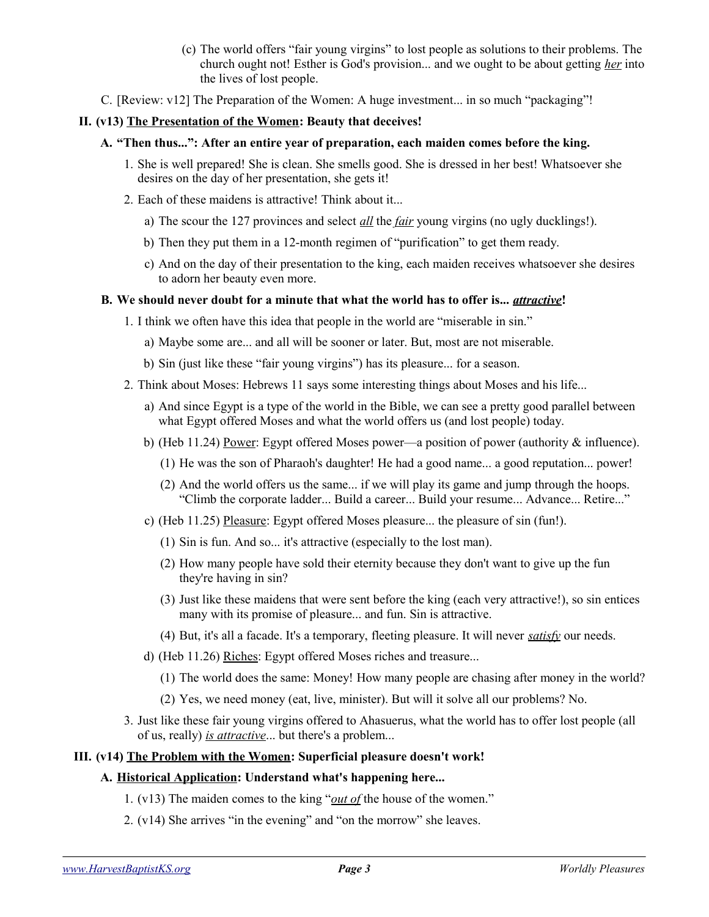- (c) The world offers "fair young virgins" to lost people as solutions to their problems. The church ought not! Esther is God's provision... and we ought to be about getting *her* into the lives of lost people.
- C. [Review: v12] The Preparation of the Women: A huge investment... in so much "packaging"!

# **II. (v13) The Presentation of the Women: Beauty that deceives!**

# **A. "Then thus...": After an entire year of preparation, each maiden comes before the king.**

- 1. She is well prepared! She is clean. She smells good. She is dressed in her best! Whatsoever she desires on the day of her presentation, she gets it!
- 2. Each of these maidens is attractive! Think about it...
	- a) The scour the 127 provinces and select *all* the *fair* young virgins (no ugly ducklings!).
	- b) Then they put them in a 12-month regimen of "purification" to get them ready.
	- c) And on the day of their presentation to the king, each maiden receives whatsoever she desires to adorn her beauty even more.

# **B. We should never doubt for a minute that what the world has to offer is...** *attractive***!**

- 1. I think we often have this idea that people in the world are "miserable in sin."
	- a) Maybe some are... and all will be sooner or later. But, most are not miserable.
	- b) Sin (just like these "fair young virgins") has its pleasure... for a season.
- 2. Think about Moses: Hebrews 11 says some interesting things about Moses and his life...
	- a) And since Egypt is a type of the world in the Bible, we can see a pretty good parallel between what Egypt offered Moses and what the world offers us (and lost people) today.
	- b) (Heb 11.24) Power: Egypt offered Moses power—a position of power (authority & influence).
		- (1) He was the son of Pharaoh's daughter! He had a good name... a good reputation... power!
		- (2) And the world offers us the same... if we will play its game and jump through the hoops. "Climb the corporate ladder... Build a career... Build your resume... Advance... Retire..."
	- c) (Heb 11.25) Pleasure: Egypt offered Moses pleasure... the pleasure of sin (fun!).
		- (1) Sin is fun. And so... it's attractive (especially to the lost man).
		- (2) How many people have sold their eternity because they don't want to give up the fun they're having in sin?
		- (3) Just like these maidens that were sent before the king (each very attractive!), so sin entices many with its promise of pleasure... and fun. Sin is attractive.
		- (4) But, it's all a facade. It's a temporary, fleeting pleasure. It will never *satisfy* our needs.
	- d) (Heb 11.26) Riches: Egypt offered Moses riches and treasure...
		- (1) The world does the same: Money! How many people are chasing after money in the world?
		- (2) Yes, we need money (eat, live, minister). But will it solve all our problems? No.
- 3. Just like these fair young virgins offered to Ahasuerus, what the world has to offer lost people (all of us, really) *is attractive*... but there's a problem...

# **III. (v14) The Problem with the Women: Superficial pleasure doesn't work!**

# **A. Historical Application: Understand what's happening here...**

- 1. (v13) The maiden comes to the king "*out of* the house of the women."
- 2. (v14) She arrives "in the evening" and "on the morrow" she leaves.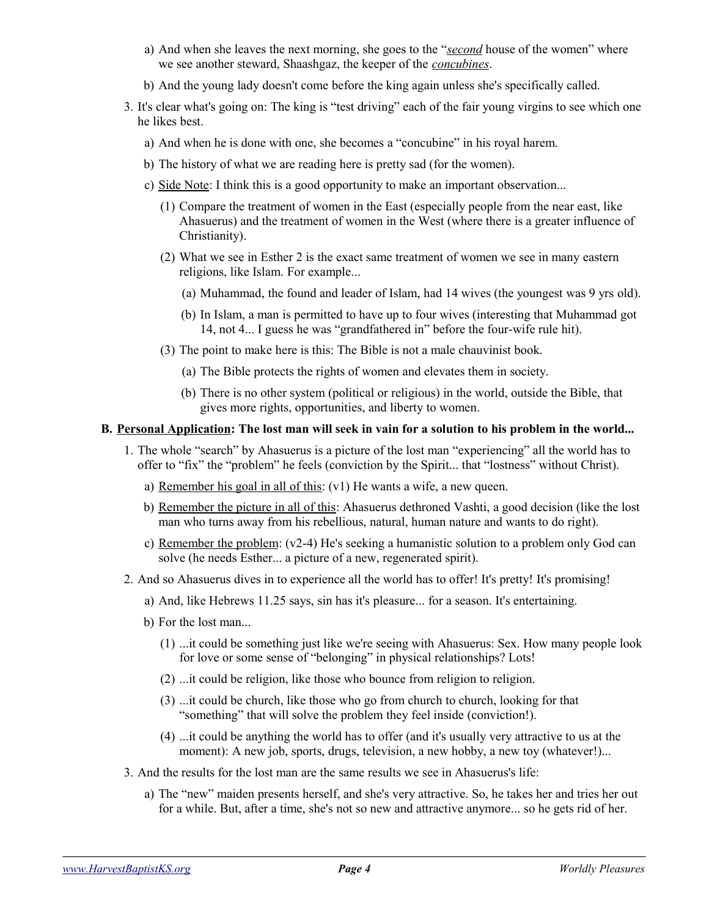- a) And when she leaves the next morning, she goes to the "*second* house of the women" where we see another steward, Shaashgaz, the keeper of the *concubines*.
- b) And the young lady doesn't come before the king again unless she's specifically called.
- 3. It's clear what's going on: The king is "test driving" each of the fair young virgins to see which one he likes best.
	- a) And when he is done with one, she becomes a "concubine" in his royal harem.
	- b) The history of what we are reading here is pretty sad (for the women).
	- c) Side Note: I think this is a good opportunity to make an important observation...
		- (1) Compare the treatment of women in the East (especially people from the near east, like Ahasuerus) and the treatment of women in the West (where there is a greater influence of Christianity).
		- (2) What we see in Esther 2 is the exact same treatment of women we see in many eastern religions, like Islam. For example...
			- (a) Muhammad, the found and leader of Islam, had 14 wives (the youngest was 9 yrs old).
			- (b) In Islam, a man is permitted to have up to four wives (interesting that Muhammad got 14, not 4... I guess he was "grandfathered in" before the four-wife rule hit).
		- (3) The point to make here is this: The Bible is not a male chauvinist book.
			- (a) The Bible protects the rights of women and elevates them in society.
			- (b) There is no other system (political or religious) in the world, outside the Bible, that gives more rights, opportunities, and liberty to women.

## **B. Personal Application: The lost man will seek in vain for a solution to his problem in the world...**

- 1. The whole "search" by Ahasuerus is a picture of the lost man "experiencing" all the world has to offer to "fix" the "problem" he feels (conviction by the Spirit... that "lostness" without Christ).
	- a) Remember his goal in all of this: (v1) He wants a wife, a new queen.
	- b) Remember the picture in all of this: Ahasuerus dethroned Vashti, a good decision (like the lost man who turns away from his rebellious, natural, human nature and wants to do right).
	- c) Remember the problem: (v2-4) He's seeking a humanistic solution to a problem only God can solve (he needs Esther... a picture of a new, regenerated spirit).
- 2. And so Ahasuerus dives in to experience all the world has to offer! It's pretty! It's promising!
	- a) And, like Hebrews 11.25 says, sin has it's pleasure... for a season. It's entertaining.
	- b) For the lost man...
		- (1) ...it could be something just like we're seeing with Ahasuerus: Sex. How many people look for love or some sense of "belonging" in physical relationships? Lots!
		- (2) ...it could be religion, like those who bounce from religion to religion.
		- (3) ...it could be church, like those who go from church to church, looking for that "something" that will solve the problem they feel inside (conviction!).
		- (4) ...it could be anything the world has to offer (and it's usually very attractive to us at the moment): A new job, sports, drugs, television, a new hobby, a new toy (whatever!)...
- 3. And the results for the lost man are the same results we see in Ahasuerus's life:
	- a) The "new" maiden presents herself, and she's very attractive. So, he takes her and tries her out for a while. But, after a time, she's not so new and attractive anymore... so he gets rid of her.